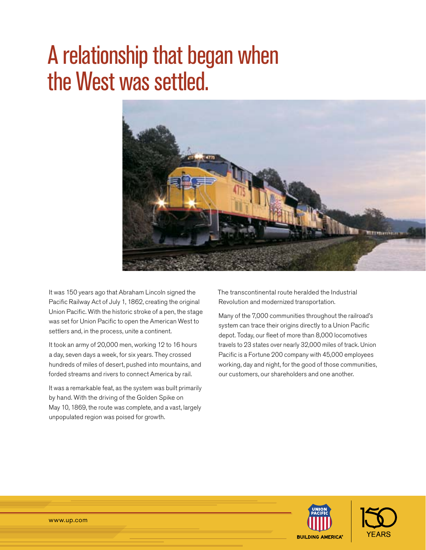# A relationship that began when the West was settled.



It was 150 years ago that Abraham Lincoln signed the Pacific Railway Act of July 1, 1862, creating the original Union Pacific. With the historic stroke of a pen, the stage was set for Union Pacific to open the American West to settlers and, in the process, unite a continent.

It took an army of 20,000 men, working 12 to 16 hours a day, seven days a week, for six years. They crossed hundreds of miles of desert, pushed into mountains, and forded streams and rivers to connect America by rail.

It was a remarkable feat, as the system was built primarily by hand. With the driving of the Golden Spike on May 10, 1869, the route was complete, and a vast, largely unpopulated region was poised for growth.

The transcontinental route heralded the Industrial Revolution and modernized transportation.

Many of the 7,000 communities throughout the railroad's system can trace their origins directly to a Union Pacific depot. Today, our fleet of more than 8,000 locomotives travels to 23 states over nearly 32,000 miles of track. Union Pacific is a Fortune 200 company with 45,000 employees working, day and night, for the good of those communities, our customers, our shareholders and one another.